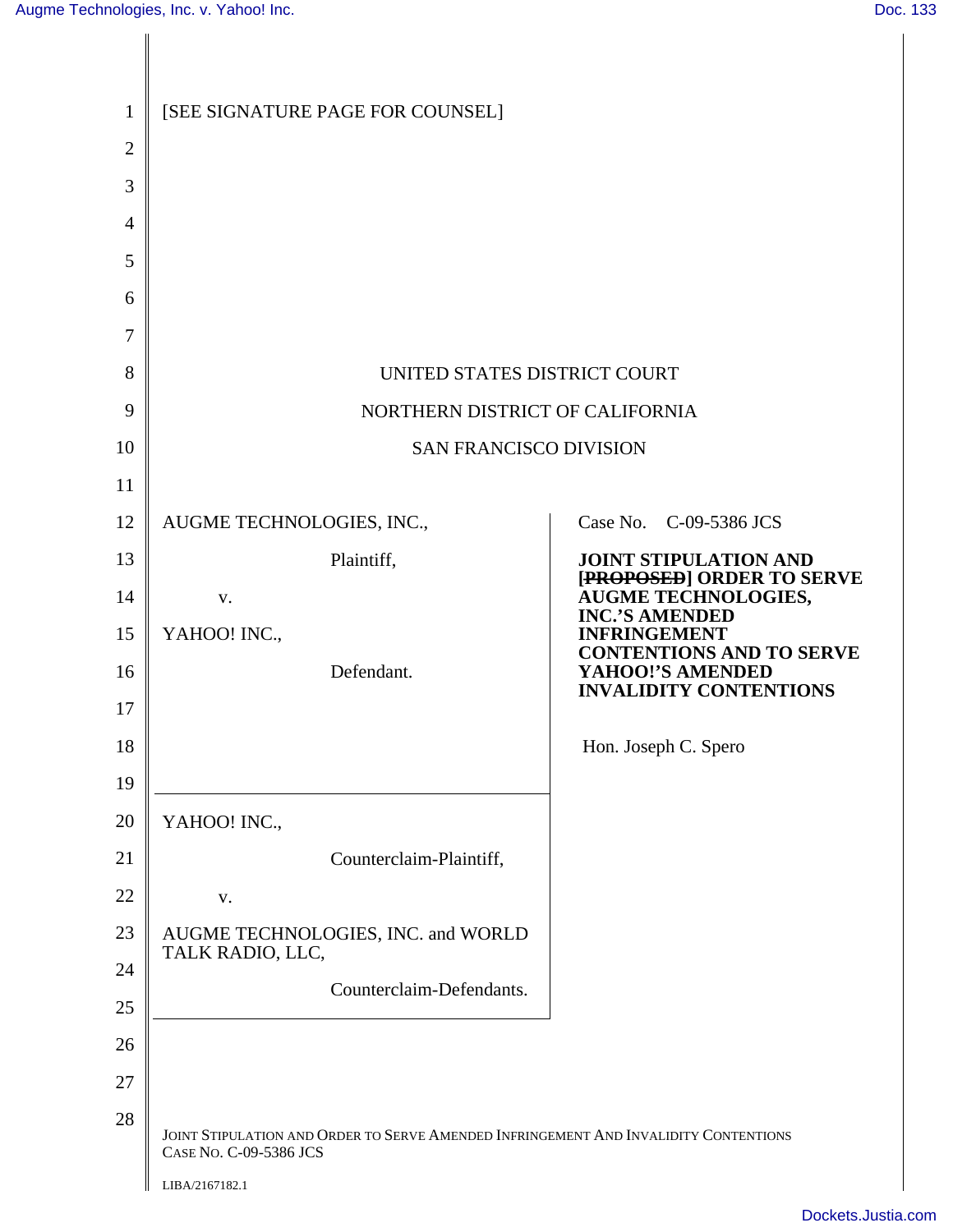Ι

| $\mathbf{1}$ | [SEE SIGNATURE PAGE FOR COUNSEL]                                                                               |                                                           |
|--------------|----------------------------------------------------------------------------------------------------------------|-----------------------------------------------------------|
| $\mathbf{2}$ |                                                                                                                |                                                           |
| 3            |                                                                                                                |                                                           |
| 4            |                                                                                                                |                                                           |
| 5            |                                                                                                                |                                                           |
| 6            |                                                                                                                |                                                           |
| 7            |                                                                                                                |                                                           |
| 8            | UNITED STATES DISTRICT COURT                                                                                   |                                                           |
| 9            | NORTHERN DISTRICT OF CALIFORNIA                                                                                |                                                           |
| 10           | <b>SAN FRANCISCO DIVISION</b>                                                                                  |                                                           |
| 11           |                                                                                                                |                                                           |
| 12           | AUGME TECHNOLOGIES, INC.,                                                                                      | Case No. C-09-5386 JCS                                    |
| 13           | Plaintiff,                                                                                                     | <b>JOINT STIPULATION AND</b><br>[PROPOSED] ORDER TO SERVE |
| 14           | V.                                                                                                             | <b>AUGME TECHNOLOGIES,</b><br><b>INC.'S AMENDED</b>       |
| 15           | YAHOO! INC.,                                                                                                   | <b>INFRINGEMENT</b><br><b>CONTENTIONS AND TO SERVE</b>    |
| 16           | Defendant.                                                                                                     | YAHOO!'S AMENDED<br><b>INVALIDITY CONTENTIONS</b>         |
| 17           |                                                                                                                |                                                           |
| 18           |                                                                                                                | Hon. Joseph C. Spero                                      |
| 19           |                                                                                                                |                                                           |
| 20           | YAHOO! INC.,                                                                                                   |                                                           |
| 21           | Counterclaim-Plaintiff,                                                                                        |                                                           |
| 22           | V.                                                                                                             |                                                           |
| 23           | AUGME TECHNOLOGIES, INC. and WORLD<br>TALK RADIO, LLC,                                                         |                                                           |
| 24           | Counterclaim-Defendants.                                                                                       |                                                           |
| 25           |                                                                                                                |                                                           |
| 26           |                                                                                                                |                                                           |
| 27           |                                                                                                                |                                                           |
| 28           | JOINT STIPULATION AND ORDER TO SERVE AMENDED INFRINGEMENT AND INVALIDITY CONTENTIONS<br>CASE NO. C-09-5386 JCS |                                                           |
|              | LIBA/2167182.1                                                                                                 |                                                           |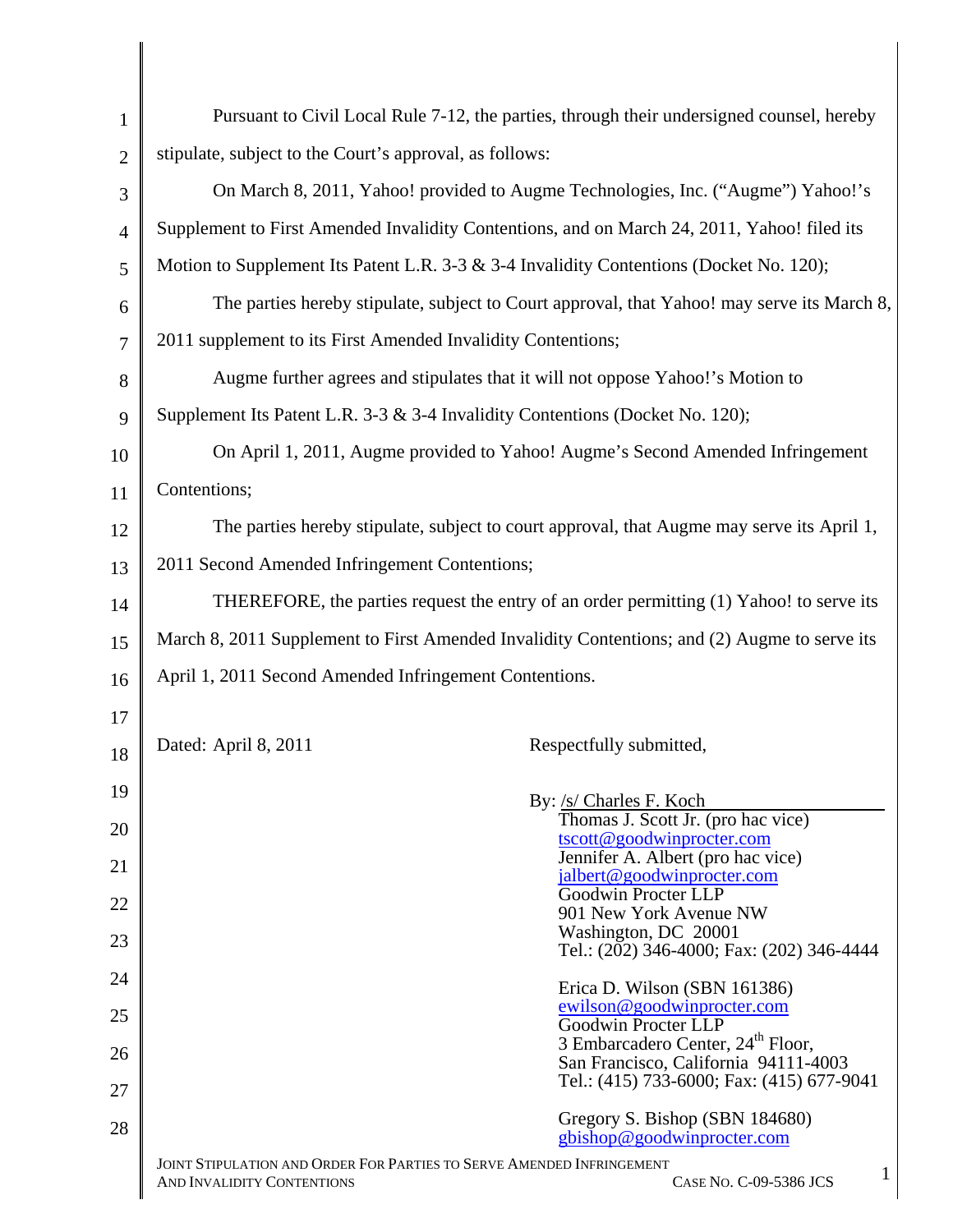| $\mathbf{1}$   | Pursuant to Civil Local Rule 7-12, the parties, through their undersigned counsel, hereby                                          |  |  |
|----------------|------------------------------------------------------------------------------------------------------------------------------------|--|--|
| $\overline{2}$ | stipulate, subject to the Court's approval, as follows:                                                                            |  |  |
| 3              | On March 8, 2011, Yahoo! provided to Augme Technologies, Inc. ("Augme") Yahoo!'s                                                   |  |  |
| $\overline{4}$ | Supplement to First Amended Invalidity Contentions, and on March 24, 2011, Yahoo! filed its                                        |  |  |
| 5              | Motion to Supplement Its Patent L.R. 3-3 & 3-4 Invalidity Contentions (Docket No. 120);                                            |  |  |
| 6              | The parties hereby stipulate, subject to Court approval, that Yahoo! may serve its March 8,                                        |  |  |
| $\overline{7}$ | 2011 supplement to its First Amended Invalidity Contentions;                                                                       |  |  |
| 8              | Augme further agrees and stipulates that it will not oppose Yahoo!'s Motion to                                                     |  |  |
| 9              | Supplement Its Patent L.R. 3-3 & 3-4 Invalidity Contentions (Docket No. 120);                                                      |  |  |
| 10             | On April 1, 2011, Augme provided to Yahoo! Augme's Second Amended Infringement                                                     |  |  |
| 11             | Contentions;                                                                                                                       |  |  |
| 12             | The parties hereby stipulate, subject to court approval, that Augme may serve its April 1,                                         |  |  |
| 13             | 2011 Second Amended Infringement Contentions;                                                                                      |  |  |
| 14             | THEREFORE, the parties request the entry of an order permitting (1) Yahoo! to serve its                                            |  |  |
| 15             | March 8, 2011 Supplement to First Amended Invalidity Contentions; and (2) Augme to serve its                                       |  |  |
| 16             | April 1, 2011 Second Amended Infringement Contentions.                                                                             |  |  |
| 17             |                                                                                                                                    |  |  |
| 18             | Dated: April 8, 2011<br>Respectfully submitted,                                                                                    |  |  |
| 19             | By: /s/ Charles F. Koch                                                                                                            |  |  |
| 20             | Thomas J. Scott Jr. (pro hac vice)<br>tscott@goodwinprocter.com                                                                    |  |  |
| 21             | Jennifer A. Albert (pro hac vice)<br>jalbert@goodwinprocter.com                                                                    |  |  |
| 22             | Goodwin Procter LLP<br>901 New York Avenue NW                                                                                      |  |  |
| 23             | Washington, DC 20001<br>Tel.: (202) 346-4000; Fax: (202) 346-4444                                                                  |  |  |
| 24             | Erica D. Wilson (SBN 161386)                                                                                                       |  |  |
| 25             | ewilson@goodwinprocter.com<br>Goodwin Procter LLP                                                                                  |  |  |
| 26             | 3 Embarcadero Center, 24 <sup>th</sup> Floor,<br>San Francisco, California 94111-4003                                              |  |  |
| 27             | Tel.: (415) 733-6000; Fax: (415) 677-9041                                                                                          |  |  |
| 28             | Gregory S. Bishop (SBN 184680)<br>gbishop@goodwinprocter.com                                                                       |  |  |
|                | JOINT STIPULATION AND ORDER FOR PARTIES TO SERVE AMENDED INFRINGEMENT<br>1<br>AND INVALIDITY CONTENTIONS<br>CASE NO. C-09-5386 JCS |  |  |

∥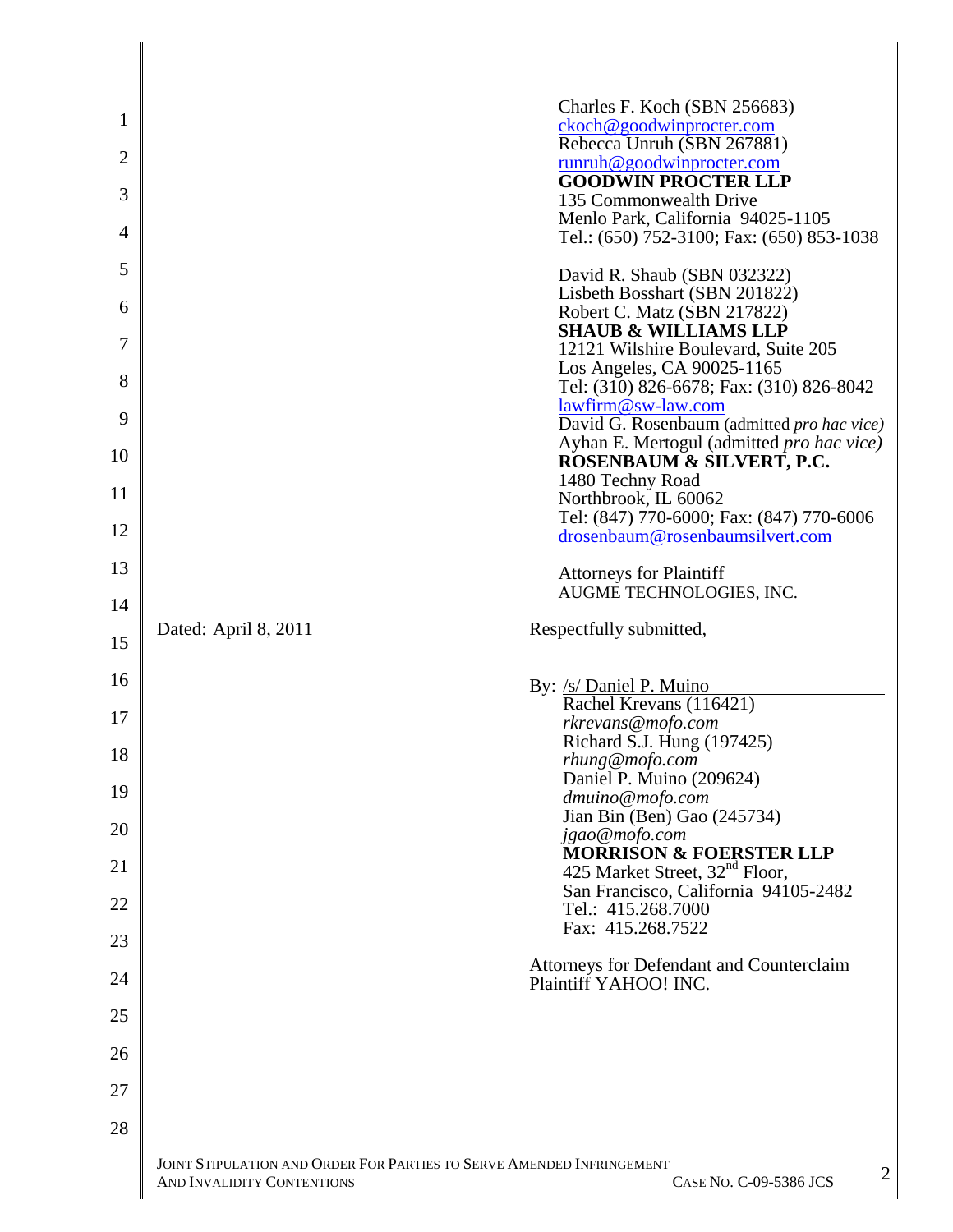| $\mathbf{1}$<br>$\overline{2}$<br>3<br>$\overline{4}$<br>5<br>6 |                                                                                | Charles F. Koch (SBN 256683)<br>ckoch@goodwinprocter.com<br>Rebecca Unruh (SBN 267881)<br>runruh@goodwinprocter.com<br><b>GOODWIN PROCTER LLP</b><br>135 Commonwealth Drive<br>Menlo Park, California 94025-1105<br>Tel.: (650) 752-3100; Fax: (650) 853-1038<br>David R. Shaub (SBN 032322)<br>Lisbeth Bosshart (SBN 201822)<br>Robert C. Matz (SBN 217822) |
|-----------------------------------------------------------------|--------------------------------------------------------------------------------|--------------------------------------------------------------------------------------------------------------------------------------------------------------------------------------------------------------------------------------------------------------------------------------------------------------------------------------------------------------|
| 7                                                               |                                                                                | <b>SHAUB &amp; WILLIAMS LLP</b><br>12121 Wilshire Boulevard, Suite 205                                                                                                                                                                                                                                                                                       |
| 8                                                               |                                                                                | Los Angeles, CA 90025-1165<br>Tel: (310) 826-6678; Fax: (310) 826-8042                                                                                                                                                                                                                                                                                       |
| 9                                                               |                                                                                | lawfirm@sw-law.com<br>David G. Rosenbaum (admitted pro hac vice)                                                                                                                                                                                                                                                                                             |
| 10                                                              |                                                                                | Ayhan E. Mertogul (admitted <i>pro hac vice</i> )<br>ROSENBAUM & SILVERT, P.C.<br>1480 Techny Road                                                                                                                                                                                                                                                           |
| 11                                                              |                                                                                | Northbrook, IL 60062<br>Tel: (847) 770-6000; Fax: (847) 770-6006                                                                                                                                                                                                                                                                                             |
| 12                                                              |                                                                                | drosenbaum@rosenbaumsilvert.com                                                                                                                                                                                                                                                                                                                              |
| 13                                                              |                                                                                | <b>Attorneys for Plaintiff</b><br>AUGME TECHNOLOGIES, INC.                                                                                                                                                                                                                                                                                                   |
| 14                                                              | Dated: April 8, 2011                                                           | Respectfully submitted,                                                                                                                                                                                                                                                                                                                                      |
| 15                                                              |                                                                                |                                                                                                                                                                                                                                                                                                                                                              |
| 16                                                              |                                                                                | By: /s/ Daniel P. Muino<br>Rachel Krevans (116421)                                                                                                                                                                                                                                                                                                           |
| 17                                                              |                                                                                | rkrevans@mofo.com<br>Richard S.J. Hung (197425)                                                                                                                                                                                                                                                                                                              |
| 18                                                              |                                                                                | rhung@mofo.com<br>Daniel P. Muino (209624)                                                                                                                                                                                                                                                                                                                   |
| 19                                                              |                                                                                | dmuino@mofo.com<br>Jian Bin (Ben) Gao (245734)                                                                                                                                                                                                                                                                                                               |
| 20                                                              |                                                                                | jgao@mofo.com<br><b>MORRISON &amp; FOERSTER LLP</b>                                                                                                                                                                                                                                                                                                          |
| 21                                                              |                                                                                | 425 Market Street, 32 <sup>nd</sup> Floor,<br>San Francisco, California 94105-2482                                                                                                                                                                                                                                                                           |
| 22                                                              |                                                                                | Tel.: 415.268.7000<br>Fax: 415.268.7522                                                                                                                                                                                                                                                                                                                      |
| 23                                                              |                                                                                |                                                                                                                                                                                                                                                                                                                                                              |
| 24                                                              |                                                                                | Attorneys for Defendant and Counterclaim<br>Plaintiff YAHOO! INC.                                                                                                                                                                                                                                                                                            |
| 25                                                              |                                                                                |                                                                                                                                                                                                                                                                                                                                                              |
| 26                                                              |                                                                                |                                                                                                                                                                                                                                                                                                                                                              |
| 27                                                              |                                                                                |                                                                                                                                                                                                                                                                                                                                                              |
| 28                                                              |                                                                                |                                                                                                                                                                                                                                                                                                                                                              |
|                                                                 | <b>JOINT STIPLIL ATION AND ORDER FOR PARTIES TO SERVE AMENDED INERINGEMENT</b> |                                                                                                                                                                                                                                                                                                                                                              |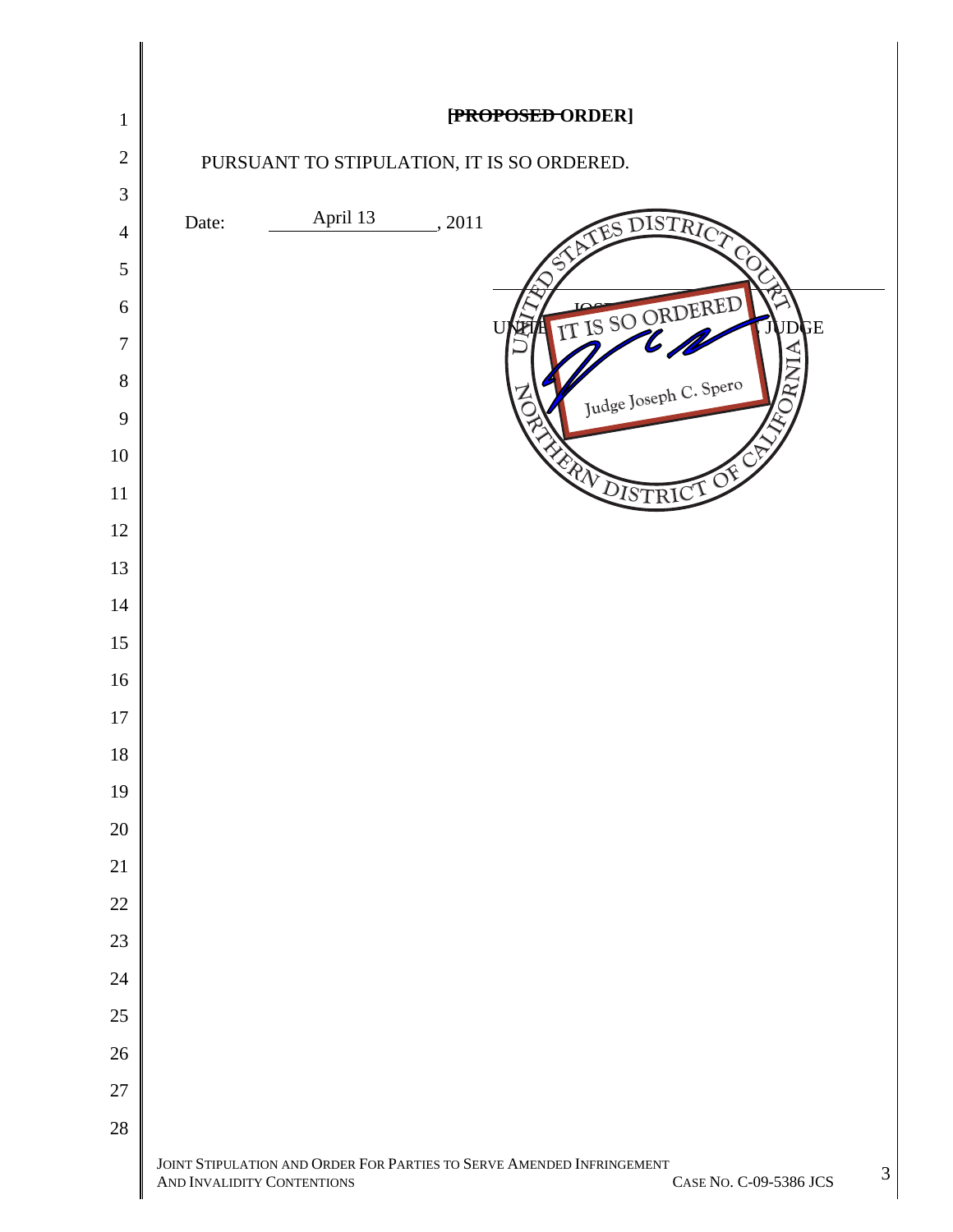